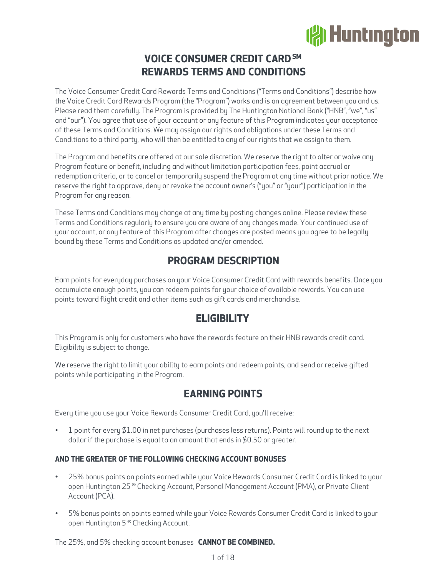# **(常Huntington**

# **VOICE CONSUMER CREDIT CARD SM REWARDS TERMS AND CONDITIONS**

The Voice Consumer Credit Card Rewards Terms and Conditions ("Terms and Conditions") describe how the Voice Credit Card Rewards Program (the "Program") works and is an agreement between you and us. Please read them carefully. The Program is provided by The Huntington National Bank ("HNB", "we", "us" and "our"). You agree that use of your account or any feature of this Program indicates your acceptance of these Terms and Conditions. We may assign our rights and obligations under these Terms and Conditions to a third party, who will then be entitled to any of our rights that we assign to them.

The Program and benefits are offered at our sole discretion. We reserve the right to alter or waive any Program feature or benefit, including and without limitation participation fees, point accrual or redemption criteria, or to cancel or temporarily suspend the Program at any time without prior notice. We reserve the right to approve, deny or revoke the account owner's ("you" or "your") participation in the Program for any reason.

These Terms and Conditions may change at any time by posting changes online. Please review these Terms and Conditions regularly to ensure you are aware of any changes made. Your continued use of your account, or any feature of this Program after changes are posted means you agree to be legally bound by these Terms and Conditions as updated and/or amended.

# **PROGRAM DESCRIPTION**

Earn points for everyday purchases on your Voice Consumer Credit Card with rewards benefits. Once you accumulate enough points, you can redeem points for your choice of available rewards. You can use points toward flight credit and other items such as gift cards and merchandise.

# **ELIGIBILITY**

This Program is only for customers who have the rewards feature on their HNB rewards credit card. Eligibility is subject to change.

We reserve the right to limit your ability to earn points and redeem points, and send or receive gifted points while participating in the Program.

# **EARNING POINTS**

Every time you use your Voice Rewards Consumer Credit Card, you'll receive:

• 1 point for every \$1.00 in net purchases (purchases less returns). Points will round up to the next dollar if the purchase is equal to an amount that ends in \$0.50 or greater.

# **AND THE GREATER OF THE FOLLOWING CHECKING ACCOUNT BONUSES**

- 25% bonus points on points earned while your Voice Rewards Consumer Credit Card is linked to your open Huntington 25 ® Checking Account, Personal Management Account (PMA), or Private Client Account (PCA).
- 5% bonus points on points earned while your Voice Rewards Consumer Credit Card is linked to your open Huntington 5 ® Checking Account.

The 25%, and 5% checking account bonuses **CANNOT BE COMBINED.**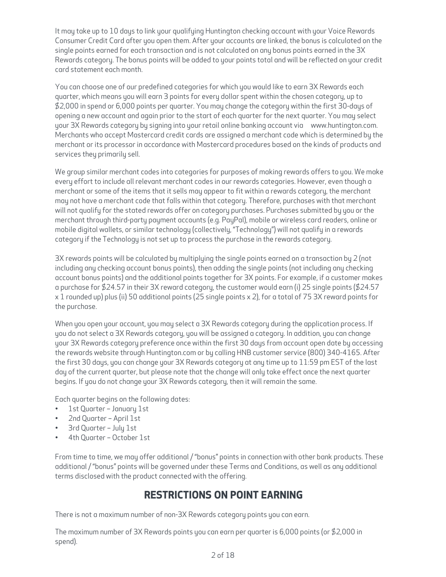It may take up to 10 days to link your qualifying Huntington checking account with your Voice Rewards Consumer Credit Card after you open them. After your accounts are linked, the bonus is calculated on the single points earned for each transaction and is not calculated on any bonus points earned in the 3X Rewards category. The bonus points will be added to your points total and will be reflected on your credit card statement each month.

You can choose one of our predefined categories for which you would like to earn 3X Rewards each quarter, which means you will earn 3 points for every dollar spent within the chosen category, up to \$2,000 in spend or 6,000 points per quarter. You may change the category within the first 30-days of opening a new account and again prior to the start of each quarter for the next quarter. You may select your 3X Rewards category by signing into your retail online banking account via [www.huntington.com.](https://www.huntington.com)  Merchants who accept Mastercard credit cards are assigned a merchant code which is determined by the merchant or its processor in accordance with Mastercard procedures based on the kinds of products and services they primarily sell.

We group similar merchant codes into categories for purposes of making rewards offers to you. We make every effort to include all relevant merchant codes in our rewards categories. However, even though a merchant or some of the items that it sells may appear to fit within a rewards category, the merchant may not have a merchant code that falls within that category. Therefore, purchases with that merchant will not qualify for the stated rewards offer on category purchases. Purchases submitted by you or the merchant through third-party payment accounts (e.g. PayPal), mobile or wireless card readers, online or mobile digital wallets, or similar technology (collectively, "Technology") will not qualify in a rewards category if the Technology is not set up to process the purchase in the rewards category.

3X rewards points will be calculated by multiplying the single points earned on a transaction by 2 (not including any checking account bonus points), then adding the single points (not including any checking account bonus points) and the additional points together for 3X points. For example, if a customer makes a purchase for \$24.57 in their 3X reward category, the customer would earn (i) 25 single points (\$24.57 x 1 rounded up) plus (ii) 50 additional points (25 single points x 2), for a total of 75 3X reward points for the purchase.

When you open your account, you may select a 3X Rewards category during the application process. If you do not select a 3X Rewards category, you will be assigned a category. In addition, you can change your 3X Rewards category preference once within the first 30 days from account open date by accessing the rewards website through Huntington.com or by calling HNB customer service (800) 340-4165. After the first 30 days, you can change your 3X Rewards category at any time up to 11:59 pm EST of the last day of the current quarter, but please note that the change will only take effect once the next quarter begins. If you do not change your 3X Rewards category, then it will remain the same.

Each quarter begins on the following dates:

- 1st Quarter January 1st
- 2nd Quarter April 1st
- 3rd Quarter July 1st
- 4th Quarter October 1st

From time to time, we may offer additional / "bonus" points in connection with other bank products. These additional / "bonus" points will be governed under these Terms and Conditions, as well as any additional terms disclosed with the product connected with the offering.

# **RESTRICTIONS ON POINT EARNING**

There is not a maximum number of non-3X Rewards category points you can earn.

The maximum number of 3X Rewards points you can earn per quarter is 6,000 points (or \$2,000 in spend).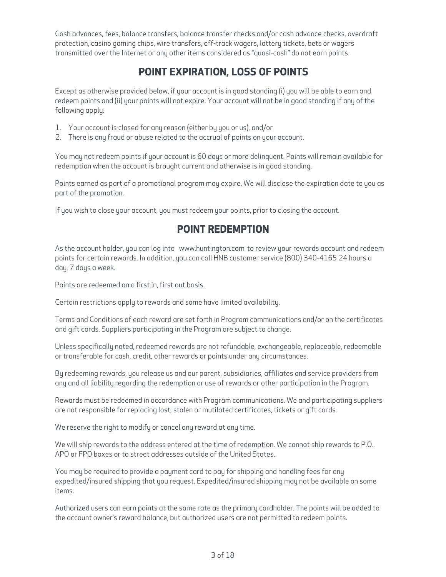Cash advances, fees, balance transfers, balance transfer checks and/or cash advance checks, overdraft protection, casino gaming chips, wire transfers, off-track wagers, lottery tickets, bets or wagers transmitted over the Internet or any other items considered as "quasi-cash" do not earn points.

# **POINT EXPIRATION, LOSS OF POINTS**

Except as otherwise provided below, if your account is in good standing (i) you will be able to earn and redeem points and (ii) your points will not expire. Your account will not be in good standing if any of the following apply:

- 1. Your account is closed for any reason (either by you or us), and/or
- 2. There is any fraud or abuse related to the accrual of points on your account.

You may not redeem points if your account is 60 days or more delinquent. Points will remain available for redemption when the account is brought current and otherwise is in good standing.

Points earned as part of a promotional program may expire. We will disclose the expiration date to you as part of the promotion.

If you wish to close your account, you must redeem your points, prior to closing the account.

# **POINT REDEMPTION**

As the account holder, you can log into [www.huntington.com](https://www.huntington.com) to review your rewards account and redeem points for certain rewards. In addition, you can call HNB customer service (800) 340-4165 24 hours a day, 7 days a week.

Points are redeemed on a first in, first out basis.

Certain restrictions apply to rewards and some have limited availability.

Terms and Conditions of each reward are set forth in Program communications and/or on the certificates and gift cards. Suppliers participating in the Program are subject to change.

Unless specifically noted, redeemed rewards are not refundable, exchangeable, replaceable, redeemable or transferable for cash, credit, other rewards or points under any circumstances.

By redeeming rewards, you release us and our parent, subsidiaries, affiliates and service providers from any and all liability regarding the redemption or use of rewards or other participation in the Program.

Rewards must be redeemed in accordance with Program communications. We and participating suppliers are not responsible for replacing lost, stolen or mutilated certificates, tickets or gift cards.

We reserve the right to modify or cancel any reward at any time.

We will ship rewards to the address entered at the time of redemption. We cannot ship rewards to P.O., APO or FPO boxes or to street addresses outside of the United States.

You may be required to provide a payment card to pay for shipping and handling fees for any expedited/insured shipping that you request. Expedited/insured shipping may not be available on some items.

Authorized users can earn points at the same rate as the primary cardholder. The points will be added to the account owner's reward balance, but authorized users are not permitted to redeem points.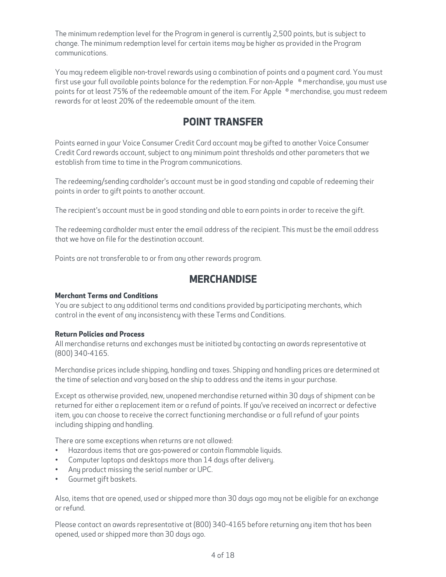The minimum redemption level for the Program in general is currently 2,500 points, but is subject to change. The minimum redemption level for certain items may be higher as provided in the Program communications.

You may redeem eligible non-travel rewards using a combination of points and a payment card. You must first use your full available points balance for the redemption. For non-Apple ® merchandise, you must use points for at least 75% of the redeemable amount of the item. For Apple ® merchandise, you must redeem rewards for at least 20% of the redeemable amount of the item.

# **POINT TRANSFER**

Points earned in your Voice Consumer Credit Card account may be gifted to another Voice Consumer Credit Card rewards account, subject to any minimum point thresholds and other parameters that we establish from time to time in the Program communications.

The redeeming/sending cardholder's account must be in good standing and capable of redeeming their points in order to gift points to another account.

The recipient's account must be in good standing and able to earn points in order to receive the gift.

The redeeming cardholder must enter the email address of the recipient. This must be the email address that we have on file for the destination account.

Points are not transferable to or from any other rewards program.

# **MERCHANDISE**

## **Merchant Terms and Conditions**

You are subject to any additional terms and conditions provided by participating merchants, which control in the event of any inconsistency with these Terms and Conditions.

## **Return Policies and Process**

All merchandise returns and exchanges must be initiated by contacting an awards representative at **keturn Policies an**<br>All merchandise re<br>(800) 340-4165.

Merchandise prices include shipping, handling and taxes. Shipping and handling prices are determined at the time of selection and vary based on the ship to address and the items in your purchase.

Except as otherwise provided, new, unopened merchandise returned within 30 days of shipment can be returned for either a replacement item or a refund of points. If you've received an incorrect or defective item, you can choose to receive the correct functioning merchandise or a full refund of your points including shipping and handling.

There are some exceptions when returns are not allowed:

- Hazardous items that are gas-powered or contain flammable liquids.
- Computer laptops and desktops more than 14 days after delivery.
- Any product missing the serial number or UPC.
- Gourmet gift baskets.

Also, items that are opened, used or shipped more than 30 days ago may not be eligible for an exchange or refund.

Please contact an awards representative at (800) 340-4165 before returning any item that has been opened, used or shipped more than 30 days ago.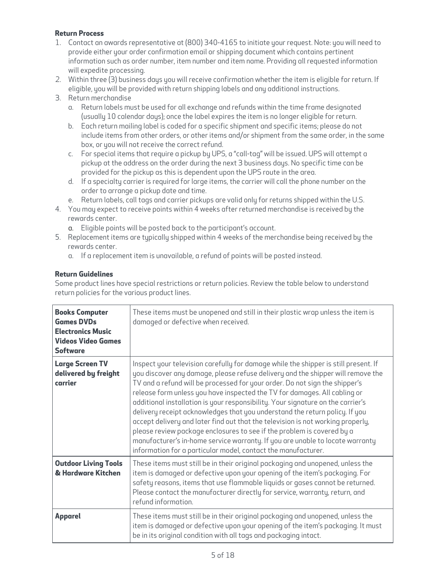## **Return Process**

- 1. Contact an awards representative at (800) 340-4165 to initiate your request. Note: you will need to provide either your order confirmation email or shipping document which contains pertinent information such as order number, item number and item name. Providing all requested information will expedite processing.
- 2. Within three (3) business days you will receive confirmation whether the item is eligible for return. If eligible, you will be provided with return shipping labels and any additional instructions.
- 3. Return merchandise
	- a. Return labels must be used for all exchange and refunds within the time frame designated (usually 10 calendar days); once the label expires the item is no longer eligible for return.
	- b. Each return mailing label is coded for a specific shipment and specific items; please do not include items from other orders, or other items and/or shipment from the same order, in the same box, or you will not receive the correct refund.
	- c. For special items that require a pickup by UPS, a "call-tag" will be issued. UPS will attempt a pickup at the address on the order during the next 3 business days. No specific time can be provided for the pickup as this is dependent upon the UPS route in the area.
	- d. If a specialty carrier is required for large items, the carrier will call the phone number on the order to arrange a pickup date and time.
	- e. Return labels, call tags and carrier pickups are valid only for returns shipped within the U.S.
- 4. You may expect to receive points within 4 weeks after returned merchandise is received by the rewards center.
	- a. Eligible points will be posted back to the participant's account.
- 5. Replacement items are typically shipped within 4 weeks of the merchandise being received by the rewards center.
	- a. If a replacement item is unavailable, a refund of points will be posted instead.

## **Return Guidelines**

Some product lines have special restrictions or return policies. Review the table below to understand return policies for the various product lines.

| <b>Books Computer</b><br><b>Games DVDs</b><br><b>Electronics Music</b><br><b>Videos Video Games</b><br><b>Software</b> | These items must be unopened and still in their plastic wrap unless the item is<br>damaged or defective when received.                                                                                                                                                                                                                                                                                                                                                                                                                                                                                                                                                                                                                                                                                              |
|------------------------------------------------------------------------------------------------------------------------|---------------------------------------------------------------------------------------------------------------------------------------------------------------------------------------------------------------------------------------------------------------------------------------------------------------------------------------------------------------------------------------------------------------------------------------------------------------------------------------------------------------------------------------------------------------------------------------------------------------------------------------------------------------------------------------------------------------------------------------------------------------------------------------------------------------------|
| <b>Large Screen TV</b><br>delivered by freight<br>carrier                                                              | Inspect your television carefully for damage while the shipper is still present. If<br>you discover any damage, please refuse delivery and the shipper will remove the<br>TV and a refund will be processed for your order. Do not sign the shipper's<br>release form unless you have inspected the TV for damages. All cabling or<br>additional installation is your responsibility. Your signature on the carrier's<br>delivery receipt acknowledges that you understand the return policy. If you<br>accept delivery and later find out that the television is not working properly,<br>please review package enclosures to see if the problem is covered by a<br>manufacturer's in-home service warranty. If you are unable to locate warranty<br>information for a particular model, contact the manufacturer. |
| <b>Outdoor Living Tools</b><br>& Hardware Kitchen                                                                      | These items must still be in their original packaging and unopened, unless the<br>item is damaged or defective upon your opening of the item's packaging. For<br>safety reasons, items that use flammable liquids or gases cannot be returned.<br>Please contact the manufacturer directly for service, warranty, return, and<br>refund information.                                                                                                                                                                                                                                                                                                                                                                                                                                                                |
| <b>Apparel</b>                                                                                                         | These items must still be in their original packaging and unopened, unless the<br>item is damaged or defective upon your opening of the item's packaging. It must<br>be in its original condition with all tags and packaging intact.                                                                                                                                                                                                                                                                                                                                                                                                                                                                                                                                                                               |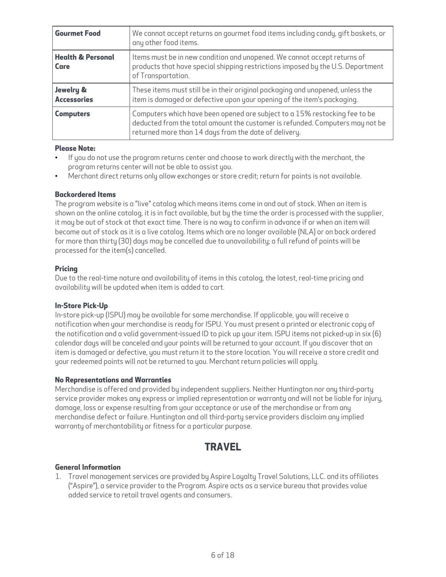| <b>Gourmet Food</b>                  | We cannot accept returns on gourmet food items including candy, gift baskets, or<br>any other food items.                                                                                                            |
|--------------------------------------|----------------------------------------------------------------------------------------------------------------------------------------------------------------------------------------------------------------------|
| <b>Health &amp; Personal</b><br>Care | Items must be in new condition and unopened. We cannot accept returns of<br>products that have special shipping restrictions imposed by the U.S. Department<br>of Transportation.                                    |
| Jewelry &<br><b>Accessories</b>      | These items must still be in their original packaging and unopened, unless the<br>item is damaged or defective upon your opening of the item's packaging.                                                            |
| <b>Computers</b>                     | Computers which have been opened are subject to a 15% restocking fee to be<br>deducted from the total amount the customer is refunded. Computers may not be<br>returned more than 14 days from the date of delivery. |

## **Please Note:**

- • If you do not use the program returns center and choose to work directly with the merchant, the program returns center will not be able to assist you.
- •Merchant direct returns only allow exchanges or store credit; return for points is not available.

## **Backordered Items**

The program website is a "live" catalog which means items come in and out of stock. When an item is shown on the online catalog, it is in fact available, but by the time the order is processed with the supplier, it may be out of stock at that exact time. There is no way to confirm in advance if or when an item will become out of stock as it is a live catalog. Items which are no longer available (NLA) or on back ordered for more than thirty (30) days may be cancelled due to unavailability; a full refund of points will be processed for the item(s) cancelled.

## **Pricing**

Due to the real-time nature and availability of items in this catalog, the latest, real-time pricing and availability will be updated when item is added to cart.

## **In-Store Pick-Up**

In-store pick-up (ISPU) may be available for some merchandise. If applicable, you will receive a notification when your merchandise is ready for ISPU. You must present a printed or electronic copy of the notification and a valid government-issued ID to pick up your item. ISPU items not picked-up in six (6) calendar days will be canceled and your points will be returned to your account. If you discover that an item is damaged or defective, you must return it to the store location. You will receive a store credit and your redeemed points will not be returned to you. Merchant return policies will apply.

## **No Representations and Warranties**

Merchandise is offered and provided by independent suppliers. Neither Huntington nor any third-party service provider makes any express or implied representation or warranty and will not be liable for injury, damage, loss or expense resulting from your acceptance or use of the merchandise or from any merchandise defect or failure. Huntington and all third-party service providers disclaim any implied warranty of merchantability or fitness for a particular purpose.

# **TRAVEL**

## **General Information**

1. Travel management services are provided by Aspire Loyalty Travel Solutions, LLC. and its affiliates ("Aspire"), a service provider to the Program. Aspire acts as a service bureau that provides value added service to retail travel agents and consumers.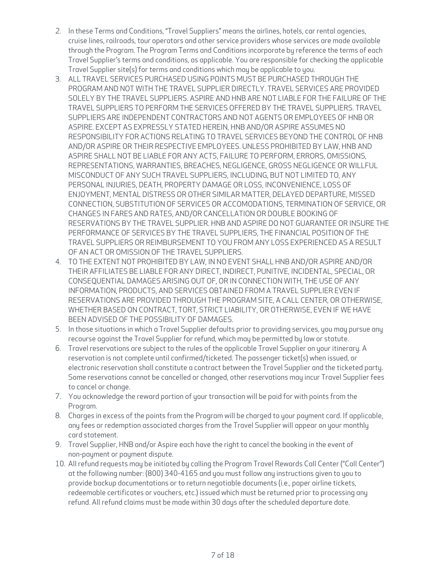- 2. In these Terms and Conditions, "Travel Suppliers" means the airlines, hotels, car rental agencies, cruise lines, railroads, tour operators and other service providers whose services are made available through the Program. The Program Terms and Conditions incorporate by reference the terms of each Travel Supplier's terms and conditions, as applicable. You are responsible for checking the applicable Travel Supplier site(s) for terms and conditions which may be applicable to you.
- 3. ALL TRAVEL SERVICES PURCHASED USING POINTS MUST BE PURCHASED THROUGH THE PROGRAM AND NOT WITH THE TRAVEL SUPPLIER DIRECTLY. TRAVEL SERVICES ARE PROVIDED SOLELY BY THE TRAVEL SUPPLIERS. ASPIRE AND HNB ARE NOT LIABLE FOR THE FAILURE OF THE TRAVEL SUPPLIERS TO PERFORM THE SERVICES OFFERED BY THE TRAVEL SUPPLIERS. TRAVEL SUPPLIERS ARE INDEPENDENT CONTRACTORS AND NOT AGENTS OR EMPLOYEES OF HNB OR ASPIRE. EXCEPT AS EXPRESSLY STATED HEREIN, HNB AND/OR ASPIRE ASSUMES NO RESPONSIBILITY FOR ACTIONS RELATING TO TRAVEL SERVICES BEYOND THE CONTROL OF HNB AND/OR ASPIRE OR THEIR RESPECTIVE EMPLOYEES. UNLESS PROHIBITED BY LAW, HNB AND ASPIRE SHALL NOT BE LIABLE FOR ANY ACTS, FAILURE TO PERFORM, ERRORS, OMISSIONS, REPRESENTATIONS, WARRANTIES, BREACHES, NEGLIGENCE, GROSS NEGLIGENCE OR WILLFUL MISCONDUCT OF ANY SUCH TRAVEL SUPPLIERS, INCLUDING, BUT NOT LIMITED TO, ANY PERSONAL INJURIES, DEATH, PROPERTY DAMAGE OR LOSS, INCONVENIENCE, LOSS OF ENJOYMENT, MENTAL DISTRESS OR OTHER SIMILAR MATTER, DELAYED DEPARTURE, MISSED CONNECTION, SUBSTITUTION OF SERVICES OR ACCOMODATIONS, TERMINATION OF SERVICE, OR CHANGES IN FARES AND RATES, AND/OR CANCELLATION OR DOUBLE BOOKING OF RESERVATIONS BY THE TRAVEL SUPPLIER. HNB AND ASPIRE DO NOT GUARANTEE OR INSURE THE PERFORMANCE OF SERVICES BY THE TRAVEL SUPPLIERS, THE FINANCIAL POSITION OF THE TRAVEL SUPPLIERS OR REIMBURSEMENT TO YOU FROM ANY LOSS EXPERIENCED AS A RESULT OF AN ACT OR OMISSION OF THE TRAVEL SUPPLIERS.
- 4. TO THE EXTENT NOT PROHIBITED BY LAW, IN NO EVENT SHALL HNB AND/OR ASPIRE AND/OR THEIR AFFILIATES BE LIABLE FOR ANY DIRECT, INDIRECT, PUNITIVE, INCIDENTAL, SPECIAL, OR CONSEQUENTIAL DAMAGES ARISING OUT OF, OR IN CONNECTION WITH, THE USE OF ANY INFORMATION, PRODUCTS, AND SERVICES OBTAINED FROM A TRAVEL SUPPLIER EVEN IF RESERVATIONS ARE PROVIDED THROUGH THE PROGRAM SITE, A CALL CENTER, OR OTHERWISE, WHETHER BASED ON CONTRACT, TORT, STRICT LIABILITY, OR OTHERWISE, EVEN IF WE HAVE BEEN ADVISED OF THE POSSIBILITY OF DAMAGES.
- 5. In those situations in which a Travel Supplier defaults prior to providing services, you may pursue any recourse against the Travel Supplier for refund, which may be permitted by law or statute.
- 6. Travel reservations are subject to the rules of the applicable Travel Supplier on your itinerary. A reservation is not complete until confirmed/ticketed. The passenger ticket(s) when issued, or electronic reservation shall constitute a contract between the Travel Supplier and the ticketed party. Some reservations cannot be cancelled or changed, other reservations may incur Travel Supplier fees to cancel or change.
- 7. You acknowledge the reward portion of your transaction will be paid for with points from the Program.
- 8. Charges in excess of the points from the Program will be charged to your payment card. If applicable, any fees or redemption associated charges from the Travel Supplier will appear on your monthly card statement.
- 9. Travel Supplier, HNB and/or Aspire each have the right to cancel the booking in the event of non-payment or payment dispute.
- 10. All refund requests may be initiated by calling the Program Travel Rewards Call Center ("Call Center") at the following number: (800) 340-4165 and you must follow any instructions given to you to provide backup documentations or to return negotiable documents (i.e., paper airline tickets, redeemable certificates or vouchers, etc.) issued which must be returned prior to processing any refund. All refund claims must be made within 30 days after the scheduled departure date.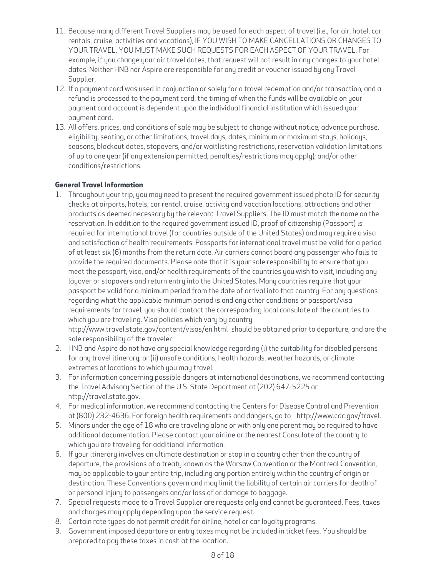- 11. Because many different Travel Suppliers may be used for each aspect of travel (i.e., for air, hotel, car rentals, cruise, activities and vacations), IF YOU WISH TO MAKE CANCELLATIONS OR CHANGES TO YOUR TRAVEL, YOU MUST MAKE SUCH REQUESTS FOR EACH ASPECT OF YOUR TRAVEL. For example, if you change your air travel dates, that request will not result in any changes to your hotel dates. Neither HNB nor Aspire are responsible for any credit or voucher issued by any Travel Supplier.
- 12. If a payment card was used in conjunction or solely for a travel redemption and/or transaction, and a refund is processed to the payment card, the timing of when the funds will be available on your payment card account is dependent upon the individual financial institution which issued your payment card.
- 13. All offers, prices, and conditions of sale may be subject to change without notice, advance purchase, eligibility, seating, or other limitations, travel days, dates, minimum or maximum stays, holidays, seasons, blackout dates, stopovers, and/or waitlisting restrictions, reservation validation limitations of up to one year (if any extension permitted, penalties/restrictions may apply); and/or other conditions/restrictions.

# **General Travel Information**

1. Throughout your trip, you may need to present the required government issued photo ID for security checks at airports, hotels, car rental, cruise, activity and vacation locations, attractions and other products as deemed necessary by the relevant Travel Suppliers. The ID must match the name on the reservation. In addition to the required government issued ID, proof of citizenship (Passport) is required for international travel (for countries outside of the United States) and may require a visa and satisfaction of health requirements. Passports for international travel must be valid for a period of at least six (6) months from the return date. Air carriers cannot board any passenger who fails to provide the required documents. Please note that it is your sole responsibility to ensure that you meet the passport, visa, and/or health requirements of the countries you wish to visit, including any layover or stopovers and return entry into the United States. Many countries require that your passport be valid for a minimum period from the date of arrival into that country. For any questions regarding what the applicable minimum period is and any other conditions or passport/visa requirements for travel, you should contact the corresponding local consulate of the countries to which you are traveling. Visa policies which vary by country <http://www.travel.state.gov/content/visas/en.html>should be obtained prior to departure, and are the

sole responsibility of the traveler.

- 2. HNB and Aspire do not have any special knowledge regarding (i) the suitability for disabled persons for any travel itinerary; or (ii) unsafe conditions, health hazards, weather hazards, or climate extremes at locations to which you may travel.
- 3. For information concerning possible dangers at international destinations, we recommend contacting the Travel Advisory Section of the U.S. State Department at (202) 647-5225 or [http://travel.state.gov.](http://www.travel.state.gov)
- 4. For medical information, we recommend contacting the Centers for Disease Control and Prevention at (800) 232-4636. For foreign health requirements and dangers, go to [http://www.cdc.gov/travel.](http://www.cdc.gov/travel)
- 5. Minors under the age of 18 who are traveling alone or with only one parent may be required to have additional documentation. Please contact your airline or the nearest Consulate of the country to which you are traveling for additional information.
- 6. If your itinerary involves an ultimate destination or stop in a country other than the country of departure, the provisions of a treaty known as the Warsaw Convention or the Montreal Convention, may be applicable to your entire trip, including any portion entirely within the country of origin or destination. These Conventions govern and may limit the liability of certain air carriers for death of or personal injury to passengers and/or loss of or damage to baggage.
- 7. Special requests made to a Travel Supplier are requests only and cannot be guaranteed. Fees, taxes and charges may apply depending upon the service request.
- 8. Certain rate types do not permit credit for airline, hotel or car loyalty programs.
- 9. Government imposed departure or entry taxes may not be included in ticket fees. You should be prepared to pay these taxes in cash at the location.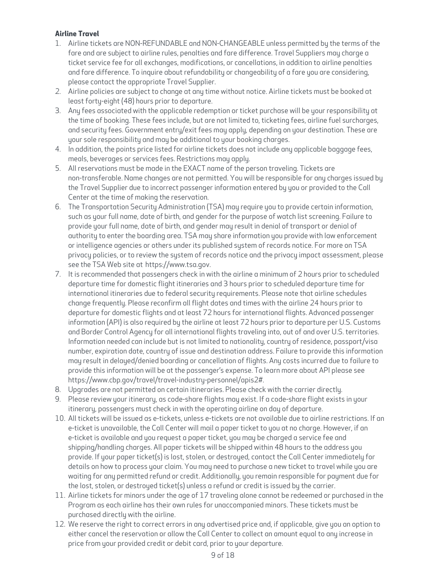## **Airline Travel**

- 1. Airline tickets are NON-REFUNDABLE and NON-CHANGEABLE unless permitted by the terms of the fare and are subject to airline rules, penalties and fare difference. Travel Suppliers may charge a ticket service fee for all exchanges, modifications, or cancellations, in addition to airline penalties and fare difference. To inquire about refundability or changeability of a fare you are considering, please contact the appropriate Travel Supplier.
- 2. Airline policies are subject to change at any time without notice. Airline tickets must be booked at least forty-eight (48) hours prior to departure.
- 3. Any fees associated with the applicable redemption or ticket purchase will be your responsibility at the time of booking. These fees include, but are not limited to, ticketing fees, airline fuel surcharges, and security fees. Government entry/exit fees may apply, depending on your destination. These are your sole responsibility and may be additional to your booking charges.
- 4. In addition, the points price listed for airline tickets does not include any applicable baggage fees, meals, beverages or services fees. Restrictions may apply.
- 5. All reservations must be made in the EXACT name of the person traveling. Tickets are non-transferable. Name changes are not permitted. You will be responsible for any charges issued by the Travel Supplier due to incorrect passenger information entered by you or provided to the Call Center at the time of making the reservation.
- 6. The Transportation Security Administration (TSA) may require you to provide certain information, such as your full name, date of birth, and gender for the purpose of watch list screening. Failure to provide your full name, date of birth, and gender may result in denial of transport or denial of authority to enter the boarding area. TSA may share information you provide with law enforcement or intelligence agencies or others under its published system of records notice. For more on TSA privacy policies, or to review the system of records notice and the privacy impact assessment, please see the TSA Web site at [https://www.tsa.gov.](http://www.tsa.gov)
- 7. It is recommended that passengers check in with the airline a minimum of 2 hours prior to scheduled departure time for domestic flight itineraries and 3 hours prior to scheduled departure time for international itineraries due to federal security requirements. Please note that airline schedules change frequently. Please reconfirm all flight dates and times with the airline 24 hours prior to departure for domestic flights and at least 72 hours for international flights. Advanced passenger information (API) is also required by the airline at least 72 hours prior to departure per U.S. Customs and Border Control Agency for all international flights traveling into, out of and over U.S. territories. Information needed can include but is not limited to nationality, country of residence, passport/visa number, expiration date, country of issue and destination address. Failure to provide this information may result in delayed/denied boarding or cancellation of flights. Any costs incurred due to failure to provide this information will be at the passenger's expense. To learn more about API please see [https://www.cbp.gov/travel/travel-industry-personnel/apis2#.](https://www.cbp.gov/travel/travel-industry-personnel/apis2#)
- 8. Upgrades are not permitted on certain itineraries. Please check with the carrier directly.
- 9. Please review your itinerary, as code-share flights may exist. If a code-share flight exists in your itinerary, passengers must check in with the operating airline on day of departure.
- 10. All tickets will be issued as e-tickets, unless e-tickets are not available due to airline restrictions. If an e-ticket is unavailable, the Call Center will mail a paper ticket to you at no charge. However, if an e-ticket is available and you request a paper ticket, you may be charged a service fee and shipping/handling charges. All paper tickets will be shipped within 48 hours to the address you provide. If your paper ticket(s) is lost, stolen, or destroyed, contact the Call Center immediately for details on how to process your claim. You may need to purchase a new ticket to travel while you are waiting for any permitted refund or credit. Additionally, you remain responsible for payment due for the lost, stolen, or destroyed ticket(s) unless a refund or credit is issued by the carrier.
- 11. Airline tickets for minors under the age of 17 traveling alone cannot be redeemed or purchased in the Program as each airline has their own rules for unaccompanied minors. These tickets must be purchased directly with the airline.
- 12. We reserve the right to correct errors in any advertised price and, if applicable, give you an option to either cancel the reservation or allow the Call Center to collect an amount equal to any increase in price from your provided credit or debit card, prior to your departure.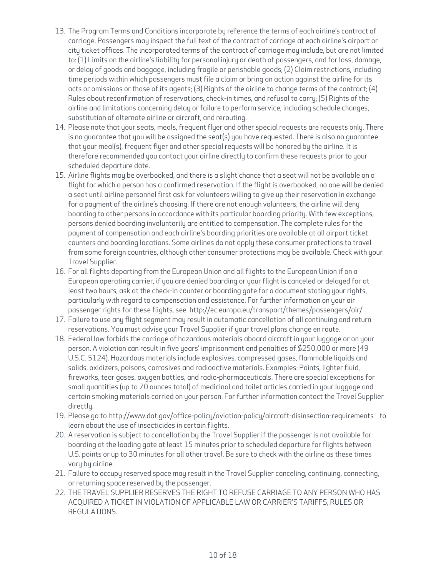- 13. The Program Terms and Conditions incorporate by reference the terms of each airline's contract of carriage. Passengers may inspect the full text of the contract of carriage at each airline's airport or city ticket offices. The incorporated terms of the contract of carriage may include, but are not limited to: (1) Limits on the airline's liability for personal injury or death of passengers, and for loss, damage, or delay of goods and baggage, including fragile or perishable goods; (2) Claim restrictions, including time periods within which passengers must file a claim or bring an action against the airline for its acts or omissions or those of its agents; (3) Rights of the airline to change terms of the contract; (4) Rules about reconfirmation of reservations, check-in times, and refusal to carry; (5) Rights of the airline and limitations concerning delay or failure to perform service, including schedule changes, substitution of alternate airline or aircraft, and rerouting.
- 14. Please note that your seats, meals, frequent flyer and other special requests are requests only. There is no guarantee that you will be assigned the seat(s) you have requested. There is also no guarantee that your meal(s), frequent flyer and other special requests will be honored by the airline. It is therefore recommended you contact your airline directly to confirm these requests prior to your scheduled departure date.
- 15. Airline flights may be overbooked, and there is a slight chance that a seat will not be available on a flight for which a person has a confirmed reservation. If the flight is overbooked, no one will be denied a seat until airline personnel first ask for volunteers willing to give up their reservation in exchange for a payment of the airline's choosing. If there are not enough volunteers, the airline will deny boarding to other persons in accordance with its particular boarding priority. With few exceptions, persons denied boarding involuntarily are entitled to compensation. The complete rules for the payment of compensation and each airline's boarding priorities are available at all airport ticket counters and boarding locations. Some airlines do not apply these consumer protections to travel from some foreign countries, although other consumer protections may be available. Check with your Travel Supplier.
- 16. For all flights departing from the European Union and all flights to the European Union if on a European operating carrier, if you are denied boarding or your flight is canceled or delayed for at least two hours, ask at the check-in counter or boarding gate for a document stating your rights, particularly with regard to compensation and assistance. For further information on your air passenger rights for these flights, see [http://ec.europa.eu/transport/themes/passengers/air/ .](http://www.ec.europa.eu/transport/themes/passengers/air/)
- 17. Failure to use any flight segment may result in automatic cancellation of all continuing and return reservations. You must advise your Travel Supplier if your travel plans change en route.
- 18. Federal law forbids the carriage of hazardous materials aboard aircraft in your luggage or on your person. A violation can result in five years' imprisonment and penalties of \$250,000 or more (49 U.S.C. 5124). Hazardous materials include explosives, compressed gases, flammable liquids and solids, oxidizers, poisons, corrosives and radioactive materials. Examples: Paints, lighter fluid, fireworks, tear gases, oxygen bottles, and radio-pharmaceuticals. There are special exceptions for small quantities (up to 70 ounces total) of medicinal and toilet articles carried in your luggage and certain smoking materials carried on your person. For further information contact the Travel Supplier directlu.
- 19. Please go to <http://www.dot.gov/office-policy/aviation-policy/aircraft-disinsection-requirements>to learn about the use of insecticides in certain flights.
- 20. A reservation is subject to cancellation by the Travel Supplier if the passenger is not available for boarding at the loading gate at least 15 minutes prior to scheduled departure for flights between U.S. points or up to 30 minutes for all other travel. Be sure to check with the airline as these times vary by airline.
- 21. Failure to occupy reserved space may result in the Travel Supplier canceling, continuing, connecting, or returning space reserved by the passenger.
- 22. THE TRAVEL SUPPLIER RESERVES THE RIGHT TO REFUSE CARRIAGE TO ANY PERSON WHO HAS ACQUIRED A TICKET IN VIOLATION OF APPLICABLE LAW OR CARRIER'S TARIFFS, RULES OR REGULATIONS.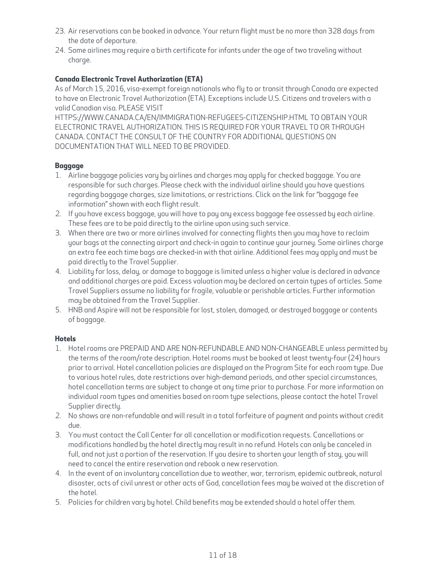- 23. Air reservations can be booked in advance. Your return flight must be no more than 328 days from the date of departure.
- 24. Some airlines may require a birth certificate for infants under the age of two traveling without charge.

# **Canada Electronic Travel Authorization (ETA)**

As of March 15, 2016, visa-exempt foreign nationals who fly to or transit through Canada are expected to have an Electronic Travel Authorization (ETA). Exceptions include U.S. Citizens and travelers with a valid Canadian visa. PLEASE VISIT

[HTTPS://WWW.CANADA.CA/EN/IMMIGRATION-REFUGEES-CITIZENSHIP.HTML](https://www.canada.ca/en/immigration-refugees-citizenship.html)TO OBTAIN YOUR ELECTRONIC TRAVEL AUTHORIZATION. THIS IS REQUIRED FOR YOUR TRAVEL TO OR THROUGH CANADA. CONTACT THE CONSULT OF THE COUNTRY FOR ADDITIONAL QUESTIONS ON DOCUMENTATION THAT WILL NEED TO BE PROVIDED.

## **Baggage**

- 1. Airline baggage policies vary by airlines and charges may apply for checked baggage. You are responsible for such charges. Please check with the individual airline should you have questions regarding baggage charges, size limitations, or restrictions. Click on the link for "baggage fee information" shown with each flight result.
- 2. If you have excess baggage, you will have to pay any excess baggage fee assessed by each airline. These fees are to be paid directly to the airline upon using such service.
- 3. When there are two or more airlines involved for connecting flights then you may have to reclaim your bags at the connecting airport and check-in again to continue your journey. Some airlines charge an extra fee each time bags are checked-in with that airline. Additional fees may apply and must be paid directly to the Travel Supplier.
- 4. Liability for loss, delay, or damage to baggage is limited unless a higher value is declared in advance and additional charges are paid. Excess valuation may be declared on certain types of articles. Some Travel Suppliers assume no liability for fragile, valuable or perishable articles. Further information may be obtained from the Travel Supplier.
- 5. HNB and Aspire will not be responsible for lost, stolen, damaged, or destroyed baggage or contents of baggage.

# **Hotels**

- 1. Hotel rooms are PREPAID AND ARE NON-REFUNDABLE AND NON-CHANGEABLE unless permitted by the terms of the room/rate description. Hotel rooms must be booked at least twenty-four (24) hours prior to arrival. Hotel cancellation policies are displayed on the Program Site for each room type. Due to various hotel rules, date restrictions over high-demand periods, and other special circumstances, hotel cancellation terms are subject to change at any time prior to purchase. For more information on individual room types and amenities based on room type selections, please contact the hotel Travel Supplier directly.
- 2. No shows are non-refundable and will result in a total forfeiture of payment and points without credit due.
- 3. You must contact the Call Center for all cancellation or modification requests. Cancellations or modifications handled by the hotel directly may result in no refund. Hotels can only be canceled in full, and not just a portion of the reservation. If you desire to shorten your length of stay, you will need to cancel the entire reservation and rebook a new reservation.
- 4. In the event of an involuntary cancellation due to weather, war, terrorism, epidemic outbreak, natural disaster, acts of civil unrest or other acts of God, cancellation fees may be waived at the discretion of the hotel.
- 5. Policies for children vary by hotel. Child benefits may be extended should a hotel offer them.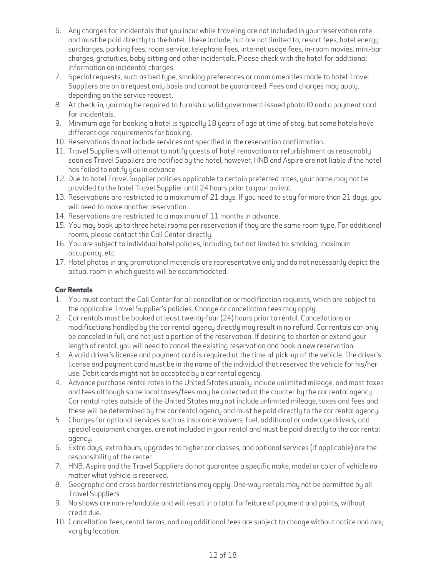- 6. Any charges for incidentals that you incur while traveling are not included in your reservation rate and must be paid directly to the hotel. These include, but are not limited to, resort fees, hotel energy surcharges, parking fees, room service, telephone fees, internet usage fees, in-room movies, mini-bar charges, gratuities, baby sitting and other incidentals. Please check with the hotel for additional information on incidental charges.
- 7. Special requests, such as bed type, smoking preferences or room amenities made to hotel Travel Suppliers are on a request only basis and cannot be guaranteed. Fees and charges may apply, depending on the service request.
- 8. At check-in, you may be required to furnish a valid government-issued photo ID and a payment card for incidentals.
- 9. Minimum age for booking a hotel is typically 18 years of age at time of stay, but some hotels have different age requirements for booking.
- 10. Reservations do not include services not specified in the reservation confirmation.
- 11. Travel Suppliers will attempt to notify guests of hotel renovation or refurbishment as reasonably soon as Travel Suppliers are notified by the hotel; however, HNB and Aspire are not liable if the hotel has failed to notify you in advance.
- 12. Due to hotel Travel Supplier policies applicable to certain preferred rates, your name may not be provided to the hotel Travel Supplier until 24 hours prior to your arrival.
- 13. Reservations are restricted to a maximum of 21 days. If you need to stay for more than 21 days, you will need to make another reservation.
- 14. Reservations are restricted to a maximum of 11 months in advance.
- 15. You may book up to three hotel rooms per reservation if they are the same room type. For additional rooms, please contact the Call Center directly.
- 16. You are subject to individual hotel policies, including, but not limited to: smoking, maximum occupancy, etc.
- 17. Hotel photos in any promotional materials are representative only and do not necessarily depict the actual room in which guests will be accommodated.

# **Car Rentals**

- 1. You must contact the Call Center for all cancellation or modification requests, which are subject to the applicable Travel Supplier's policies. Change or cancellation fees may apply.
- 2. Car rentals must be booked at least twenty-four (24) hours prior to rental. Cancellations or modifications handled by the car rental agency directly may result in no refund. Car rentals can only be canceled in full, and not just a portion of the reservation. If desiring to shorten or extend your length of rental, you will need to cancel the existing reservation and book a new reservation.
- 3. A valid driver's license and payment card is required at the time of pick-up of the vehicle. The driver's license and payment card must be in the name of the individual that reserved the vehicle for his/her use. Debit cards might not be accepted by a car rental agency.
- 4. Advance purchase rental rates in the United States usually include unlimited mileage, and most taxes and fees although some local taxes/fees may be collected at the counter by the car rental agency. Car rental rates outside of the United States may not include unlimited mileage, taxes and fees and these will be determined by the car rental agency and must be paid directly to the car rental agency.
- 5. Charges for optional services such as insurance waivers, fuel, additional or underage drivers, and special equipment charges, are not included in your rental and must be paid directly to the car rental agency.
- 6. Extra days, extra hours, upgrades to higher car classes, and optional services (if applicable) are the responsibility of the renter.
- 7. HNB, Aspire and the Travel Suppliers do not guarantee a specific make, model or color of vehicle no matter what vehicle is reserved.
- 8. Geographic and cross border restrictions may apply. One-way rentals may not be permitted by all Travel Suppliers.
- 9. No shows are non-refundable and will result in a total forfeiture of payment and points, without credit due.
- 10. Cancellation fees, rental terms, and any additional fees are subject to change without notice and may vary by location.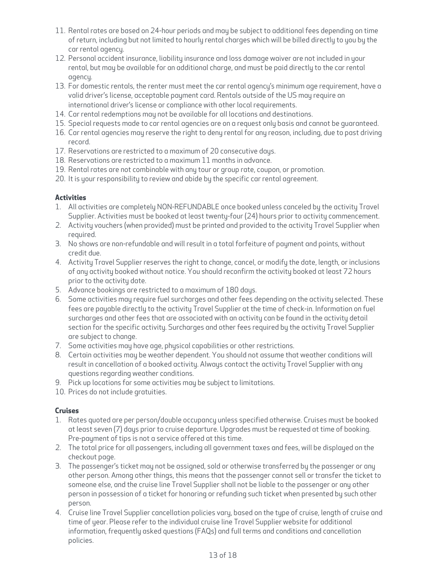- 11. Rental rates are based on 24-hour periods and may be subject to additional fees depending on time of return, including but not limited to hourly rental charges which will be billed directly to you by the car rental agency.
- 12. Personal accident insurance, liability insurance and loss damage waiver are not included in your rental, but may be available for an additional charge, and must be paid directly to the car rental agency.
- 13. For domestic rentals, the renter must meet the car rental agency's minimum age requirement, have a valid driver's license, acceptable payment card. Rentals outside of the US may require an international driver's license or compliance with other local requirements.
- 14. Car rental redemptions may not be available for all locations and destinations.
- 15. Special requests made to car rental agencies are on a request only basis and cannot be guaranteed.
- 16. Car rental agencies may reserve the right to deny rental for any reason, including, due to past driving record.
- 17. Reservations are restricted to a maximum of 20 consecutive days.
- 18. Reservations are restricted to a maximum 11 months in advance.
- 19. Rental rates are not combinable with any tour or group rate, coupon, or promotion.
- 20. It is your responsibility to review and abide by the specific car rental agreement.

## **Activities**

- 1. All activities are completely NON-REFUNDABLE once booked unless canceled by the activity Travel Supplier. Activities must be booked at least twenty-four (24) hours prior to activity commencement.
- 2. Activity vouchers (when provided) must be printed and provided to the activity Travel Supplier when required.
- 3. No shows are non-refundable and will result in a total forfeiture of payment and points, without credit due.
- 4. Activity Travel Supplier reserves the right to change, cancel, or modify the date, length, or inclusions of any activity booked without notice. You should reconfirm the activity booked at least 72 hours prior to the activity date.
- 5. Advance bookings are restricted to a maximum of 180 days.
- 6. Some activities may require fuel surcharges and other fees depending on the activity selected. These fees are payable directly to the activity Travel Supplier at the time of check-in. Information on fuel surcharges and other fees that are associated with an activity can be found in the activity detail section for the specific activity. Surcharges and other fees required by the activity Travel Supplier are subject to change.
- 7. Some activities may have age, physical capabilities or other restrictions.
- 8. Certain activities may be weather dependent. You should not assume that weather conditions will result in cancellation of a booked activity. Always contact the activity Travel Supplier with any questions regarding weather conditions.
- 9. Pick up locations for some activities may be subject to limitations.
- 10. Prices do not include gratuities.

## **Cruises**

- 1. Rates quoted are per person/double occupancy unless specified otherwise. Cruises must be booked at least seven (7) days prior to cruise departure. Upgrades must be requested at time of booking. Pre-payment of tips is not a service offered at this time.
- 2. The total price for all passengers, including all government taxes and fees, will be displayed on the checkout page.
- 3. The passenger's ticket may not be assigned, sold or otherwise transferred by the passenger or any other person. Among other things, this means that the passenger cannot sell or transfer the ticket to someone else, and the cruise line Travel Supplier shall not be liable to the passenger or any other person in possession of a ticket for honoring or refunding such ticket when presented by such other person.
- 4. Cruise line Travel Supplier cancellation policies vary, based on the type of cruise, length of cruise and time of year. Please refer to the individual cruise line Travel Supplier website for additional information, frequently asked questions (FAQs) and full terms and conditions and cancellation policies.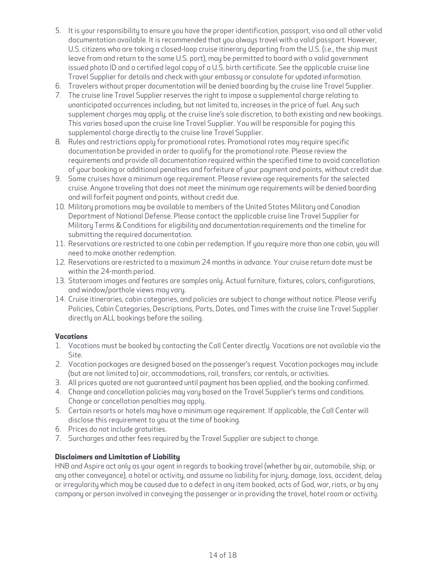- 5. It is your responsibility to ensure you have the proper identification, passport, visa and all other valid documentation available. It is recommended that you always travel with a valid passport. However, U.S. citizens who are taking a closed-loop cruise itinerary departing from the U.S. (i.e., the ship must leave from and return to the same U.S. port), may be permitted to board with a valid government issued photo ID and a certified legal copy of a U.S. birth certificate. See the applicable cruise line Travel Supplier for details and check with your embassy or consulate for updated information.
- 6. Travelers without proper documentation will be denied boarding by the cruise line Travel Supplier.
- 7. The cruise line Travel Supplier reserves the right to impose a supplemental charge relating to unanticipated occurrences including, but not limited to, increases in the price of fuel. Any such supplement charges may apply, at the cruise line's sole discretion, to both existing and new bookings. This varies based upon the cruise line Travel Supplier. You will be responsible for paying this supplemental charge directly to the cruise line Travel Supplier.
- 8. Rules and restrictions apply for promotional rates. Promotional rates may require specific documentation be provided in order to qualify for the promotional rate. Please review the requirements and provide all documentation required within the specified time to avoid cancellation of your booking or additional penalties and forfeiture of your payment and points, without credit due.
- 9. Some cruises have a minimum age requirement. Please review age requirements for the selected cruise. Anyone traveling that does not meet the minimum age requirements will be denied boarding and will forfeit payment and points, without credit due.
- 10. Military promotions may be available to members of the United States Military and Canadian Department of National Defense. Please contact the applicable cruise line Travel Supplier for Military Terms & Conditions for eligibility and documentation requirements and the timeline for submitting the required documentation.
- 11. Reservations are restricted to one cabin per redemption. If you require more than one cabin, you will need to make another redemption.
- 12. Reservations are restricted to a maximum 24 months in advance. Your cruise return date must be within the 24-month period.
- 13. Stateroom images and features are samples only. Actual furniture, fixtures, colors, configurations, and window/porthole views may vary.
- 14. Cruise itineraries, cabin categories, and policies are subject to change without notice. Please verify Policies, Cabin Categories, Descriptions, Ports, Dates, and Times with the cruise line Travel Supplier directly on ALL bookings before the sailing.

## **Vacations**

- 1. Vacations must be booked by contacting the Call Center directly. Vacations are not available via the Site.
- 2. Vacation packages are designed based on the passenger's request. Vacation packages may include (but are not limited to) air, accommodations, rail, transfers, car rentals, or activities.
- 3. All prices quoted are not guaranteed until payment has been applied, and the booking confirmed.
- 4. Change and cancellation policies may vary based on the Travel Supplier's terms and conditions. Change or cancellation penalties may apply.
- 5. Certain resorts or hotels may have a minimum age requirement. If applicable, the Call Center will disclose this requirement to you at the time of booking.
- 6. Prices do not include gratuities.
- 7. Surcharges and other fees required by the Travel Supplier are subject to change.

## **Disclaimers and Limitation of Liability**

HNB and Aspire act only as your agent in regards to booking travel (whether by air, automobile, ship, or any other conveyance), a hotel or activity, and assume no liability for injury, damage, loss, accident, delay or irregularity which may be caused due to a defect in any item booked, acts of God, war, riots, or by any company or person involved in conveying the passenger or in providing the travel, hotel room or activity.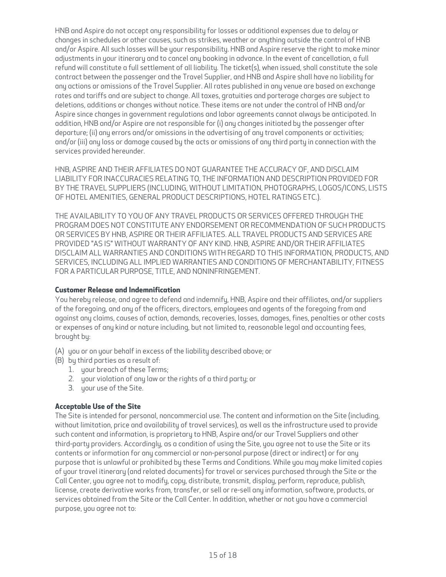HNB and Aspire do not accept any responsibility for losses or additional expenses due to delay or changes in schedules or other causes, such as strikes, weather or anything outside the control of HNB and/or Aspire. All such losses will be your responsibility. HNB and Aspire reserve the right to make minor adjustments in your itinerary and to cancel any booking in advance. In the event of cancellation, a full refund will constitute a full settlement of all liability. The ticket(s), when issued, shall constitute the sole contract between the passenger and the Travel Supplier, and HNB and Aspire shall have no liability for any actions or omissions of the Travel Supplier. All rates published in any venue are based on exchange rates and tariffs and are subject to change. All taxes, gratuities and porterage charges are subject to deletions, additions or changes without notice. These items are not under the control of HNB and/or Aspire since changes in government regulations and labor agreements cannot always be anticipated. In addition, HNB and/or Aspire are not responsible for (i) any changes initiated by the passenger after departure; (ii) any errors and/or omissions in the advertising of any travel components or activities; and/or (iii) any loss or damage caused by the acts or omissions of any third party in connection with the services provided hereunder.

HNB, ASPIRE AND THEIR AFFILIATES DO NOT GUARANTEE THE ACCURACY OF, AND DISCLAIM LIABILITY FOR INACCURACIES RELATING TO, THE INFORMATION AND DESCRIPTION PROVIDED FOR BY THE TRAVEL SUPPLIERS (INCLUDING, WITHOUT LIMITATION, PHOTOGRAPHS, LOGOS/ICONS, LISTS OF HOTEL AMENITIES, GENERAL PRODUCT DESCRIPTIONS, HOTEL RATINGS ETC.).

THE AVAILABILITY TO YOU OF ANY TRAVEL PRODUCTS OR SERVICES OFFERED THROUGH THE PROGRAM DOES NOT CONSTITUTE ANY ENDORSEMENT OR RECOMMENDATION OF SUCH PRODUCTS OR SERVICES BY HNB, ASPIRE OR THEIR AFFILIATES. ALL TRAVEL PRODUCTS AND SERVICES ARE PROVIDED "AS IS" WITHOUT WARRANTY OF ANY KIND. HNB, ASPIRE AND/OR THEIR AFFILIATES DISCLAIM ALL WARRANTIES AND CONDITIONS WITH REGARD TO THIS INFORMATION, PRODUCTS, AND SERVICES, INCLUDING ALL IMPLIED WARRANTIES AND CONDITIONS OF MERCHANTABILITY, FITNESS FOR A PARTICULAR PURPOSE, TITLE, AND NONINFRINGEMENT.

## **Customer Release and Indemnification**

You hereby release, and agree to defend and indemnify, HNB, Aspire and their affiliates, and/or suppliers of the foregoing, and any of the officers, directors, employees and agents of the foregoing from and against any claims, causes of action, demands, recoveries, losses, damages, fines, penalties or other costs or expenses of any kind or nature including, but not limited to, reasonable legal and accounting fees, brought by:

- (A) you or on your behalf in excess of the liability described above; or
- (B) by third parties as a result of:
	- 1. your breach of these Terms;
	- 2. your violation of any law or the rights of a third party; or
	- 3. your use of the Site.

## **Acceptable Use of the Site**

The Site is intended for personal, noncommercial use. The content and information on the Site (including, without limitation, price and availability of travel services), as well as the infrastructure used to provide such content and information, is proprietary to HNB, Aspire and/or our Travel Suppliers and other third-party providers. Accordingly, as a condition of using the Site, you agree not to use the Site or its contents or information for any commercial or non-personal purpose (direct or indirect) or for any purpose that is unlawful or prohibited by these Terms and Conditions. While you may make limited copies of your travel itinerary (and related documents) for travel or services purchased through the Site or the Call Center, you agree not to modify, copy, distribute, transmit, display, perform, reproduce, publish, license, create derivative works from, transfer, or sell or re-sell any information, software, products, or services obtained from the Site or the Call Center. In addition, whether or not you have a commercial purpose, you agree not to: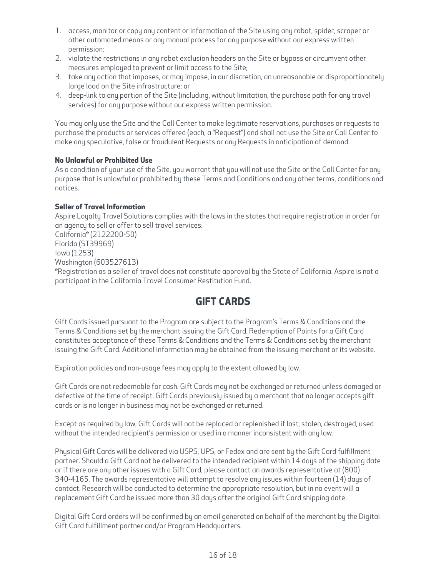- 1. access, monitor or copy any content or information of the Site using any robot, spider, scraper or other automated means or any manual process for any purpose without our express written permission;
- 2. violate the restrictions in any robot exclusion headers on the Site or bypass or circumvent other measures employed to prevent or limit access to the Site;
- 3. take any action that imposes, or may impose, in our discretion, an unreasonable or disproportionately large load on the Site infrastructure; or
- 4. deep-link to any portion of the Site (including, without limitation, the purchase path for any travel services) for any purpose without our express written permission.

You may only use the Site and the Call Center to make legitimate reservations, purchases or requests to purchase the products or services offered (each, a "Request") and shall not use the Site or Call Center to make any speculative, false or fraudulent Requests or any Requests in anticipation of demand.

## **No Unlawful or Prohibited Use**

As a condition of your use of the Site, you warrant that you will not use the Site or the Call Center for any purpose that is unlawful or prohibited by these Terms and Conditions and any other terms, conditions and notices.

## **Seller of Travel Information**

Aspire Loyalty Travel Solutions complies with the laws in the states that require registration in order for an agency to sell or offer to sell travel services: California\* (2122200-50) Florida (ST39969) Iowa (1253) Washington (603527613) \*Registration as a seller of travel does not constitute approval by the State of California. Aspire is not a participant in the California Travel Consumer Restitution Fund.

# **GIFT CARDS**

Gift Cards issued pursuant to the Program are subject to the Program's Terms & Conditions and the Terms & Conditions set by the merchant issuing the Gift Card. Redemption of Points for a Gift Card constitutes acceptance of these Terms & Conditions and the Terms & Conditions set by the merchant issuing the Gift Card. Additional information may be obtained from the issuing merchant or its website.

Expiration policies and non-usage fees may apply to the extent allowed by law.

Gift Cards are not redeemable for cash. Gift Cards may not be exchanged or returned unless damaged or defective at the time of receipt. Gift Cards previously issued by a merchant that no longer accepts gift cards or is no longer in business may not be exchanged or returned.

Except as required by law, Gift Cards will not be replaced or replenished if lost, stolen, destroyed, used without the intended recipient's permission or used in a manner inconsistent with any law.

Physical Gift Cards will be delivered via USPS, UPS, or Fedex and are sent by the Gift Card fulfillment partner. Should a Gift Card not be delivered to the intended recipient within 14 days of the shipping date or if there are any other issues with a Gift Card, please contact an awards representative at (800) 340-4165. The awards representative will attempt to resolve any issues within fourteen (14) days of contact. Research will be conducted to determine the appropriate resolution, but in no event will a replacement Gift Card be issued more than 30 days after the original Gift Card shipping date.

Digital Gift Card orders will be confirmed by an email generated on behalf of the merchant by the Digital Gift Card fulfillment partner and/or Program Headquarters.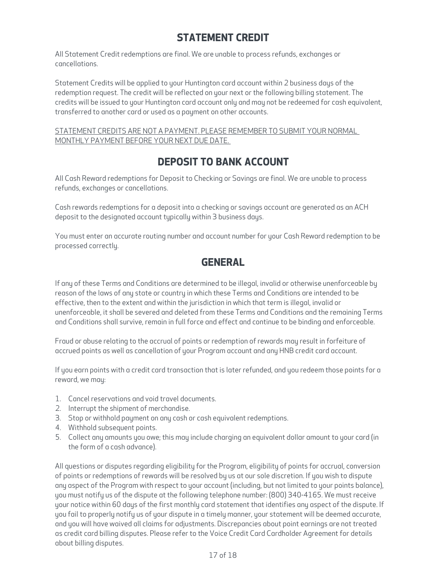# **STATEMENT CREDIT**

All Statement Credit redemptions are final. We are unable to process refunds, exchanges or cancellations.

Statement Credits will be applied to your Huntington card account within 2 business days of the redemption request. The credit will be reflected on your next or the following billing statement. The credits will be issued to your Huntington card account only and may not be redeemed for cash equivalent, transferred to another card or used as a payment on other accounts.

## STATEMENT CREDITS ARE NOT A PAYMENT. PLEASE REMEMBER TO SUBMIT YOUR NORMAL MONTHLY PAYMENT BEFORE YOUR NEXT DUE DATE.

# **DEPOSIT TO BANK ACCOUNT**

All Cash Reward redemptions for Deposit to Checking or Savings are final. We are unable to process refunds, exchanges or cancellations.

Cash rewards redemptions for a deposit into a checking or savings account are generated as an ACH deposit to the designated account typically within 3 business days.

You must enter an accurate routing number and account number for your Cash Reward redemption to be processed correctly.

# **GENERAL**

If any of these Terms and Conditions are determined to be illegal, invalid or otherwise unenforceable by reason of the laws of any state or country in which these Terms and Conditions are intended to be effective, then to the extent and within the jurisdiction in which that term is illegal, invalid or unenforceable, it shall be severed and deleted from these Terms and Conditions and the remaining Terms and Conditions shall survive, remain in full force and effect and continue to be binding and enforceable.

Fraud or abuse relating to the accrual of points or redemption of rewards may result in forfeiture of accrued points as well as cancellation of your Program account and any HNB credit card account.

If you earn points with a credit card transaction that is later refunded, and you redeem those points for a reward, we may:

- 1. Cancel reservations and void travel documents.
- 2. Interrupt the shipment of merchandise.
- 3. Stop or withhold payment on any cash or cash equivalent redemptions.
- 4. Withhold subsequent points.
- 5. Collect any amounts you owe; this may include charging an equivalent dollar amount to your card (in the form of a cash advance).

All questions or disputes regarding eligibility for the Program, eligibility of points for accrual, conversion of points or redemptions of rewards will be resolved by us at our sole discretion. If you wish to dispute any aspect of the Program with respect to your account (including, but not limited to your points balance), you must notify us of the dispute at the following telephone number: (800) 340-4165. We must receive your notice within 60 days of the first monthly card statement that identifies any aspect of the dispute. If you fail to properly notify us of your dispute in a timely manner, your statement will be deemed accurate, and you will have waived all claims for adjustments. Discrepancies about point earnings are not treated as credit card billing disputes. Please refer to the Voice Credit Card Cardholder Agreement for details about billing disputes.